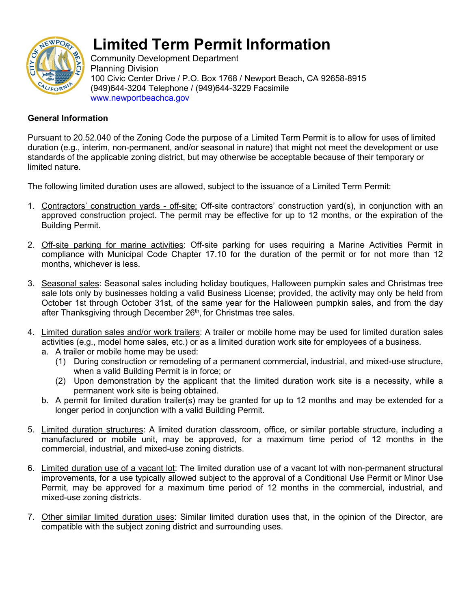

# **Limited Term Permit Information**

Community Development Department Planning Division 100 Civic Center Drive / P.O. Box 1768 / Newport Beach, CA 92658-8915 (949)644-3204 Telephone / (949)644-3229 Facsimile www.newportbeachca.gov

## **General Information**

Pursuant to 20.52.040 of the Zoning Code the purpose of a Limited Term Permit is to allow for uses of limited duration (e.g., interim, non-permanent, and/or seasonal in nature) that might not meet the development or use standards of the applicable zoning district, but may otherwise be acceptable because of their temporary or limited nature.

The following limited duration uses are allowed, subject to the issuance of a Limited Term Permit:

- 1. Contractors' construction yards off-site: Off-site contractors' construction yard(s), in conjunction with an approved construction project. The permit may be effective for up to 12 months, or the expiration of the Building Permit.
- 2. Off-site parking for marine activities: Off-site parking for uses requiring a Marine Activities Permit in compliance with Municipal Code Chapter 17.10 for the duration of the permit or for not more than 12 months, whichever is less.
- 3. Seasonal sales: Seasonal sales including holiday boutiques, Halloween pumpkin sales and Christmas tree sale lots only by businesses holding a valid Business License; provided, the activity may only be held from October 1st through October 31st, of the same year for the Halloween pumpkin sales, and from the day after Thanksgiving through December 26<sup>th</sup>, for Christmas tree sales.
- 4. Limited duration sales and/or work trailers: A trailer or mobile home may be used for limited duration sales activities (e.g., model home sales, etc.) or as a limited duration work site for employees of a business.
	- a. A trailer or mobile home may be used:
		- (1) During construction or remodeling of a permanent commercial, industrial, and mixed-use structure, when a valid Building Permit is in force; or
		- (2) Upon demonstration by the applicant that the limited duration work site is a necessity, while a permanent work site is being obtained.
	- b. A permit for limited duration trailer(s) may be granted for up to 12 months and may be extended for a longer period in conjunction with a valid Building Permit.
- 5. Limited duration structures: A limited duration classroom, office, or similar portable structure, including a manufactured or mobile unit, may be approved, for a maximum time period of 12 months in the commercial, industrial, and mixed-use zoning districts.
- 6. Limited duration use of a vacant lot: The limited duration use of a vacant lot with non-permanent structural improvements, for a use typically allowed subject to the approval of a Conditional Use Permit or Minor Use Permit, may be approved for a maximum time period of 12 months in the commercial, industrial, and mixed-use zoning districts.
- 7. Other similar limited duration uses: Similar limited duration uses that, in the opinion of the Director, are compatible with the subject zoning district and surrounding uses.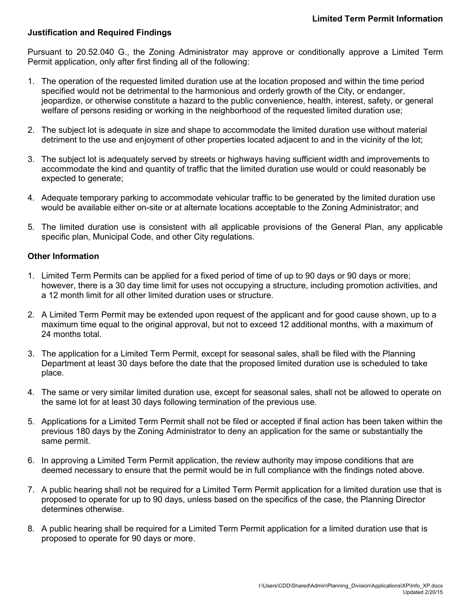#### **Justification and Required Findings**

Pursuant to 20.52.040 G., the Zoning Administrator may approve or conditionally approve a Limited Term Permit application, only after first finding all of the following:

- 1. The operation of the requested limited duration use at the location proposed and within the time period specified would not be detrimental to the harmonious and orderly growth of the City, or endanger, jeopardize, or otherwise constitute a hazard to the public convenience, health, interest, safety, or general welfare of persons residing or working in the neighborhood of the requested limited duration use;
- 2. The subject lot is adequate in size and shape to accommodate the limited duration use without material detriment to the use and enjoyment of other properties located adjacent to and in the vicinity of the lot;
- 3. The subject lot is adequately served by streets or highways having sufficient width and improvements to accommodate the kind and quantity of traffic that the limited duration use would or could reasonably be expected to generate;
- 4. Adequate temporary parking to accommodate vehicular traffic to be generated by the limited duration use would be available either on-site or at alternate locations acceptable to the Zoning Administrator; and
- 5. The limited duration use is consistent with all applicable provisions of the General Plan, any applicable specific plan, Municipal Code, and other City regulations.

#### **Other Information**

- 1. Limited Term Permits can be applied for a fixed period of time of up to 90 days or 90 days or more; however, there is a 30 day time limit for uses not occupying a structure, including promotion activities, and a 12 month limit for all other limited duration uses or structure.
- 2. A Limited Term Permit may be extended upon request of the applicant and for good cause shown, up to a maximum time equal to the original approval, but not to exceed 12 additional months, with a maximum of 24 months total.
- 3. The application for a Limited Term Permit, except for seasonal sales, shall be filed with the Planning Department at least 30 days before the date that the proposed limited duration use is scheduled to take place.
- 4. The same or very similar limited duration use, except for seasonal sales, shall not be allowed to operate on the same lot for at least 30 days following termination of the previous use.
- 5. Applications for a Limited Term Permit shall not be filed or accepted if final action has been taken within the previous 180 days by the Zoning Administrator to deny an application for the same or substantially the same permit.
- 6. In approving a Limited Term Permit application, the review authority may impose conditions that are deemed necessary to ensure that the permit would be in full compliance with the findings noted above.
- 7. A public hearing shall not be required for a Limited Term Permit application for a limited duration use that is proposed to operate for up to 90 days, unless based on the specifics of the case, the Planning Director determines otherwise.
- 8. A public hearing shall be required for a Limited Term Permit application for a limited duration use that is proposed to operate for 90 days or more.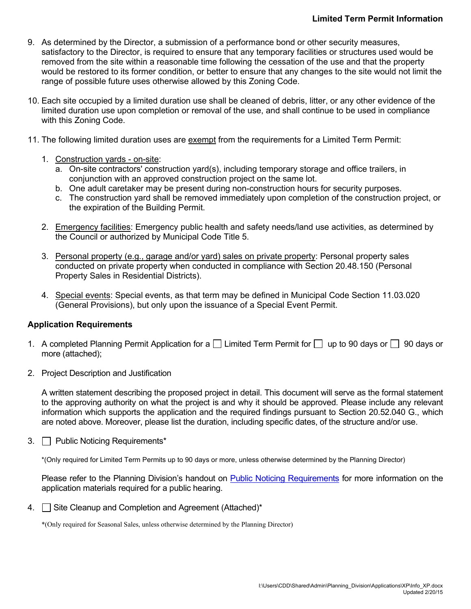- 9. As determined by the Director, a submission of a performance bond or other security measures, satisfactory to the Director, is required to ensure that any temporary facilities or structures used would be removed from the site within a reasonable time following the cessation of the use and that the property would be restored to its former condition, or better to ensure that any changes to the site would not limit the range of possible future uses otherwise allowed by this Zoning Code.
- 10. Each site occupied by a limited duration use shall be cleaned of debris, litter, or any other evidence of the limited duration use upon completion or removal of the use, and shall continue to be used in compliance with this Zoning Code.
- 11. The following limited duration uses are exempt from the requirements for a Limited Term Permit:
	- 1. Construction yards on-site:
		- a. On-site contractors' construction yard(s), including temporary storage and office trailers, in conjunction with an approved construction project on the same lot.
		- b. One adult caretaker may be present during non-construction hours for security purposes.
		- c. The construction yard shall be removed immediately upon completion of the construction project, or the expiration of the Building Permit.
	- 2. Emergency facilities: Emergency public health and safety needs/land use activities, as determined by the Council or authorized by Municipal Code Title 5.
	- 3. Personal property (e.g., garage and/or yard) sales on private property: Personal property sales conducted on private property when conducted in compliance with Section 20.48.150 (Personal Property Sales in Residential Districts).
	- 4. Special events: Special events, as that term may be defined in Municipal Code Section 11.03.020 (General Provisions), but only upon the issuance of a Special Event Permit.

#### **Application Requirements**

- 1. A completed Planning Permit Application for a  $\Box$  Limited Term Permit for  $\Box$  up to 90 days or  $\Box$  90 days or more (attached);
- 2. Project Description and Justification

A written statement describing the proposed project in detail. This document will serve as the formal statement to the approving authority on what the project is and why it should be approved. Please include any relevant information which supports the application and the required findings pursuant to Section 20.52.040 G., which are noted above. Moreover, please list the duration, including specific dates, of the structure and/or use.

3. **Public Noticing Requirements\*** 

\*(Only required for Limited Term Permits up to 90 days or more, unless otherwise determined by the Planning Director)

Please refer to the Planning Division's handout on [Public Noticing Requirements](http://www.newportbeachca.gov/Modules/ShowDocument.aspx?documentid=10041) for more information on the application materials required for a public hearing.

4. Site Cleanup and Completion and Agreement (Attached)\*

\*(Only required for Seasonal Sales, unless otherwise determined by the Planning Director)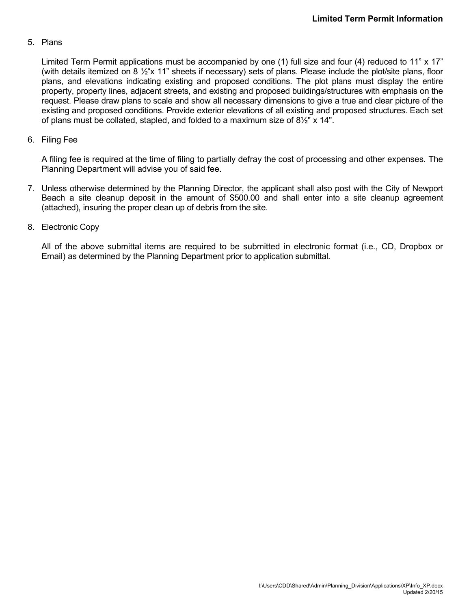#### 5. Plans

Limited Term Permit applications must be accompanied by one (1) full size and four (4) reduced to 11" x 17" (with details itemized on 8 ½"x 11" sheets if necessary) sets of plans. Please include the plot/site plans, floor plans, and elevations indicating existing and proposed conditions. The plot plans must display the entire property, property lines, adjacent streets, and existing and proposed buildings/structures with emphasis on the request. Please draw plans to scale and show all necessary dimensions to give a true and clear picture of the existing and proposed conditions. Provide exterior elevations of all existing and proposed structures. Each set of plans must be collated, stapled, and folded to a maximum size of 8½" x 14".

#### 6. Filing Fee

A filing fee is required at the time of filing to partially defray the cost of processing and other expenses. The Planning Department will advise you of said fee.

7. Unless otherwise determined by the Planning Director, the applicant shall also post with the City of Newport Beach a site cleanup deposit in the amount of \$500.00 and shall enter into a site cleanup agreement (attached), insuring the proper clean up of debris from the site.

#### 8. Electronic Copy

All of the above submittal items are required to be submitted in electronic format (i.e., CD, Dropbox or Email) as determined by the Planning Department prior to application submittal.